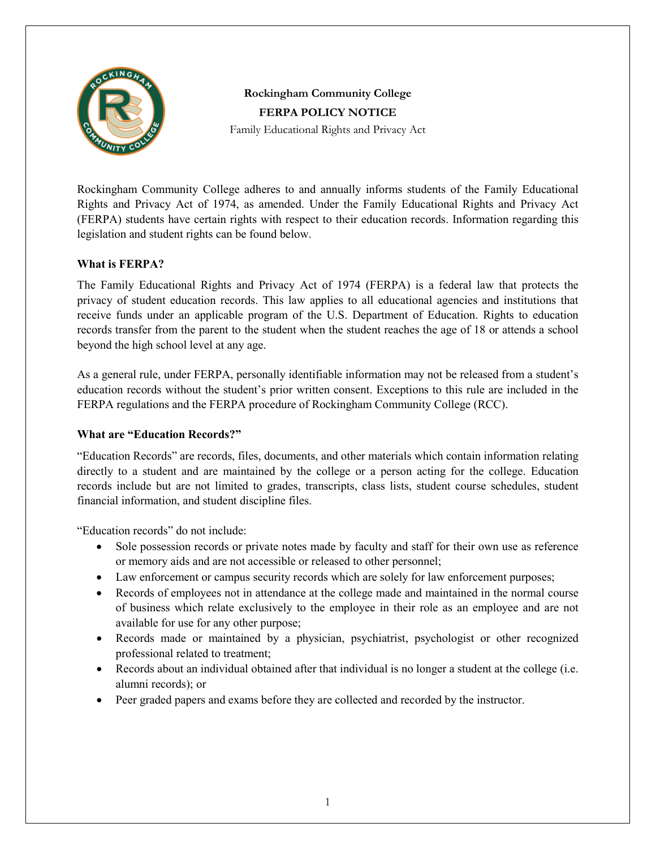

# **Rockingham Community College FERPA POLICY NOTICE**

Family Educational Rights and Privacy Act

Rockingham Community College adheres to and annually informs students of the Family Educational Rights and Privacy Act of 1974, as amended. Under the Family Educational Rights and Privacy Act (FERPA) students have certain rights with respect to their education records. Information regarding this legislation and student rights can be found below.

## **What is FERPA?**

The Family Educational Rights and Privacy Act of 1974 (FERPA) is a federal law that protects the privacy of student education records. This law applies to all educational agencies and institutions that receive funds under an applicable program of the U.S. Department of Education. Rights to education records transfer from the parent to the student when the student reaches the age of 18 or attends a school beyond the high school level at any age.

As a general rule, under FERPA, personally identifiable information may not be released from a student's education records without the student's prior written consent. Exceptions to this rule are included in the FERPA regulations and the FERPA procedure of Rockingham Community College (RCC).

## **What are "Education Records?"**

"Education Records" are records, files, documents, and other materials which contain information relating directly to a student and are maintained by the college or a person acting for the college. Education records include but are not limited to grades, transcripts, class lists, student course schedules, student financial information, and student discipline files.

"Education records" do not include:

- Sole possession records or private notes made by faculty and staff for their own use as reference or memory aids and are not accessible or released to other personnel;
- Law enforcement or campus security records which are solely for law enforcement purposes;
- Records of employees not in attendance at the college made and maintained in the normal course of business which relate exclusively to the employee in their role as an employee and are not available for use for any other purpose;
- Records made or maintained by a physician, psychiatrist, psychologist or other recognized professional related to treatment;
- Records about an individual obtained after that individual is no longer a student at the college (i.e. alumni records); or
- Peer graded papers and exams before they are collected and recorded by the instructor.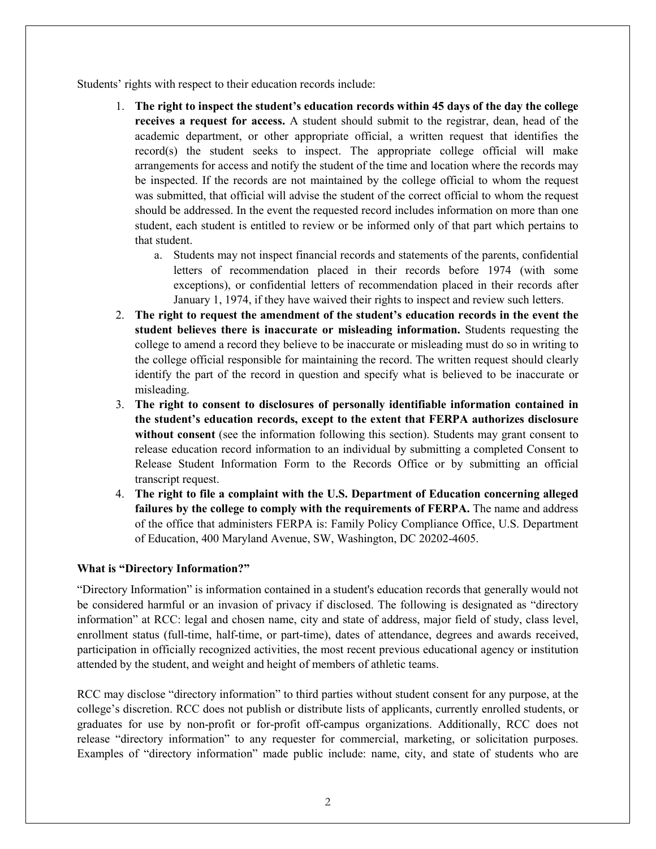Students' rights with respect to their education records include:

- 1. **The right to inspect the student's education records within 45 days of the day the college receives a request for access.** A student should submit to the registrar, dean, head of the academic department, or other appropriate official, a written request that identifies the record(s) the student seeks to inspect. The appropriate college official will make arrangements for access and notify the student of the time and location where the records may be inspected. If the records are not maintained by the college official to whom the request was submitted, that official will advise the student of the correct official to whom the request should be addressed. In the event the requested record includes information on more than one student, each student is entitled to review or be informed only of that part which pertains to that student.
	- a. Students may not inspect financial records and statements of the parents, confidential letters of recommendation placed in their records before 1974 (with some exceptions), or confidential letters of recommendation placed in their records after January 1, 1974, if they have waived their rights to inspect and review such letters.
- 2. **The right to request the amendment of the student's education records in the event the student believes there is inaccurate or misleading information.** Students requesting the college to amend a record they believe to be inaccurate or misleading must do so in writing to the college official responsible for maintaining the record. The written request should clearly identify the part of the record in question and specify what is believed to be inaccurate or misleading.
- 3. **The right to consent to disclosures of personally identifiable information contained in the student's education records, except to the extent that FERPA authorizes disclosure without consent** (see the information following this section). Students may grant consent to release education record information to an individual by submitting a completed Consent to Release Student Information Form to the Records Office or by submitting an official transcript request.
- 4. **The right to file a complaint with the U.S. Department of Education concerning alleged failures by the college to comply with the requirements of FERPA.** The name and address of the office that administers FERPA is: Family Policy Compliance Office, U.S. Department of Education, 400 Maryland Avenue, SW, Washington, DC 20202-4605.

## **What is "Directory Information?"**

"Directory Information" is information contained in a student's education records that generally would not be considered harmful or an invasion of privacy if disclosed. The following is designated as "directory information" at RCC: legal and chosen name, city and state of address, major field of study, class level, enrollment status (full-time, half-time, or part-time), dates of attendance, degrees and awards received, participation in officially recognized activities, the most recent previous educational agency or institution attended by the student, and weight and height of members of athletic teams.

RCC may disclose "directory information" to third parties without student consent for any purpose, at the college's discretion. RCC does not publish or distribute lists of applicants, currently enrolled students, or graduates for use by non-profit or for-profit off-campus organizations. Additionally, RCC does not release "directory information" to any requester for commercial, marketing, or solicitation purposes. Examples of "directory information" made public include: name, city, and state of students who are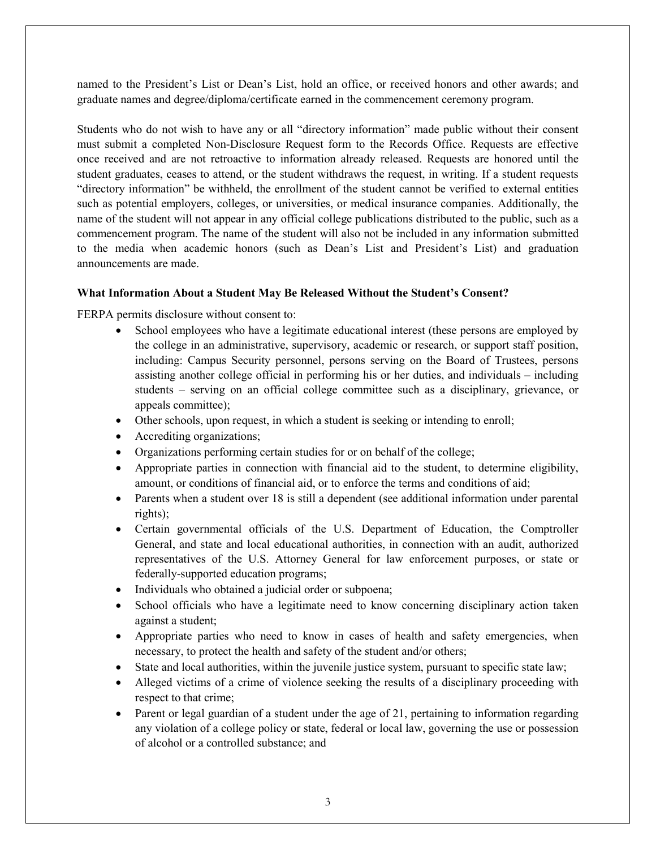named to the President's List or Dean's List, hold an office, or received honors and other awards; and graduate names and degree/diploma/certificate earned in the commencement ceremony program.

Students who do not wish to have any or all "directory information" made public without their consent must submit a completed Non-Disclosure Request form to the Records Office. Requests are effective once received and are not retroactive to information already released. Requests are honored until the student graduates, ceases to attend, or the student withdraws the request, in writing. If a student requests "directory information" be withheld, the enrollment of the student cannot be verified to external entities such as potential employers, colleges, or universities, or medical insurance companies. Additionally, the name of the student will not appear in any official college publications distributed to the public, such as a commencement program. The name of the student will also not be included in any information submitted to the media when academic honors (such as Dean's List and President's List) and graduation announcements are made.

#### **What Information About a Student May Be Released Without the Student's Consent?**

FERPA permits disclosure without consent to:

- School employees who have a legitimate educational interest (these persons are employed by the college in an administrative, supervisory, academic or research, or support staff position, including: Campus Security personnel, persons serving on the Board of Trustees, persons assisting another college official in performing his or her duties, and individuals – including students – serving on an official college committee such as a disciplinary, grievance, or appeals committee);
- Other schools, upon request, in which a student is seeking or intending to enroll;
- Accrediting organizations;
- Organizations performing certain studies for or on behalf of the college;
- Appropriate parties in connection with financial aid to the student, to determine eligibility, amount, or conditions of financial aid, or to enforce the terms and conditions of aid;
- Parents when a student over 18 is still a dependent (see additional information under parental rights);
- Certain governmental officials of the U.S. Department of Education, the Comptroller General, and state and local educational authorities, in connection with an audit, authorized representatives of the U.S. Attorney General for law enforcement purposes, or state or federally-supported education programs;
- Individuals who obtained a judicial order or subpoena;
- School officials who have a legitimate need to know concerning disciplinary action taken against a student;
- Appropriate parties who need to know in cases of health and safety emergencies, when necessary, to protect the health and safety of the student and/or others;
- State and local authorities, within the juvenile justice system, pursuant to specific state law;
- Alleged victims of a crime of violence seeking the results of a disciplinary proceeding with respect to that crime;
- Parent or legal guardian of a student under the age of 21, pertaining to information regarding any violation of a college policy or state, federal or local law, governing the use or possession of alcohol or a controlled substance; and